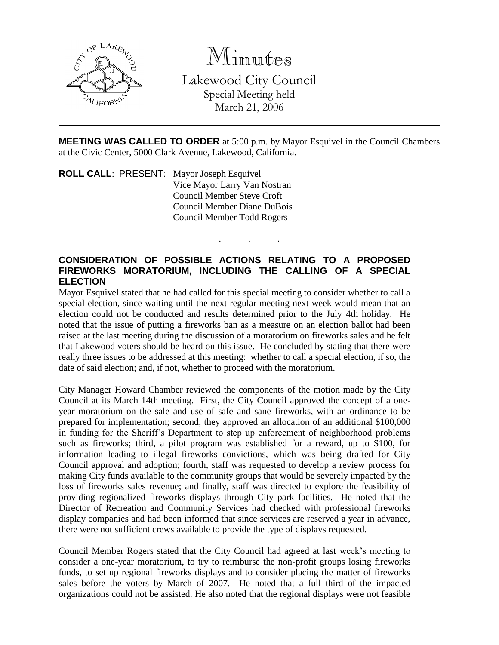

Minutes

Lakewood City Council Special Meeting held March 21, 2006

**MEETING WAS CALLED TO ORDER** at 5:00 p.m. by Mayor Esquivel in the Council Chambers at the Civic Center, 5000 Clark Avenue, Lakewood, California.

. . .

**ROLL CALL**: PRESENT: Mayor Joseph Esquivel Vice Mayor Larry Van Nostran Council Member Steve Croft Council Member Diane DuBois Council Member Todd Rogers

## **CONSIDERATION OF POSSIBLE ACTIONS RELATING TO A PROPOSED FIREWORKS MORATORIUM, INCLUDING THE CALLING OF A SPECIAL ELECTION**

Mayor Esquivel stated that he had called for this special meeting to consider whether to call a special election, since waiting until the next regular meeting next week would mean that an election could not be conducted and results determined prior to the July 4th holiday. He noted that the issue of putting a fireworks ban as a measure on an election ballot had been raised at the last meeting during the discussion of a moratorium on fireworks sales and he felt that Lakewood voters should be heard on this issue. He concluded by stating that there were really three issues to be addressed at this meeting: whether to call a special election, if so, the date of said election; and, if not, whether to proceed with the moratorium.

City Manager Howard Chamber reviewed the components of the motion made by the City Council at its March 14th meeting. First, the City Council approved the concept of a oneyear moratorium on the sale and use of safe and sane fireworks, with an ordinance to be prepared for implementation; second, they approved an allocation of an additional \$100,000 in funding for the Sheriff's Department to step up enforcement of neighborhood problems such as fireworks; third, a pilot program was established for a reward, up to \$100, for information leading to illegal fireworks convictions, which was being drafted for City Council approval and adoption; fourth, staff was requested to develop a review process for making City funds available to the community groups that would be severely impacted by the loss of fireworks sales revenue; and finally, staff was directed to explore the feasibility of providing regionalized fireworks displays through City park facilities. He noted that the Director of Recreation and Community Services had checked with professional fireworks display companies and had been informed that since services are reserved a year in advance, there were not sufficient crews available to provide the type of displays requested.

Council Member Rogers stated that the City Council had agreed at last week's meeting to consider a one-year moratorium, to try to reimburse the non-profit groups losing fireworks funds, to set up regional fireworks displays and to consider placing the matter of fireworks sales before the voters by March of 2007. He noted that a full third of the impacted organizations could not be assisted. He also noted that the regional displays were not feasible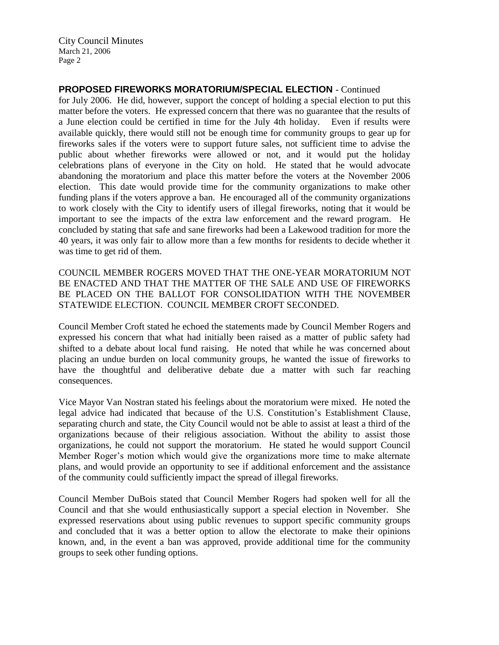## **PROPOSED FIREWORKS MORATORIUM/SPECIAL ELECTION** - Continued

for July 2006. He did, however, support the concept of holding a special election to put this matter before the voters. He expressed concern that there was no guarantee that the results of a June election could be certified in time for the July 4th holiday. Even if results were available quickly, there would still not be enough time for community groups to gear up for fireworks sales if the voters were to support future sales, not sufficient time to advise the public about whether fireworks were allowed or not, and it would put the holiday celebrations plans of everyone in the City on hold. He stated that he would advocate abandoning the moratorium and place this matter before the voters at the November 2006 election. This date would provide time for the community organizations to make other funding plans if the voters approve a ban. He encouraged all of the community organizations to work closely with the City to identify users of illegal fireworks, noting that it would be important to see the impacts of the extra law enforcement and the reward program. He concluded by stating that safe and sane fireworks had been a Lakewood tradition for more the 40 years, it was only fair to allow more than a few months for residents to decide whether it was time to get rid of them.

COUNCIL MEMBER ROGERS MOVED THAT THE ONE-YEAR MORATORIUM NOT BE ENACTED AND THAT THE MATTER OF THE SALE AND USE OF FIREWORKS BE PLACED ON THE BALLOT FOR CONSOLIDATION WITH THE NOVEMBER STATEWIDE ELECTION. COUNCIL MEMBER CROFT SECONDED.

Council Member Croft stated he echoed the statements made by Council Member Rogers and expressed his concern that what had initially been raised as a matter of public safety had shifted to a debate about local fund raising. He noted that while he was concerned about placing an undue burden on local community groups, he wanted the issue of fireworks to have the thoughtful and deliberative debate due a matter with such far reaching consequences.

Vice Mayor Van Nostran stated his feelings about the moratorium were mixed. He noted the legal advice had indicated that because of the U.S. Constitution's Establishment Clause, separating church and state, the City Council would not be able to assist at least a third of the organizations because of their religious association. Without the ability to assist those organizations, he could not support the moratorium. He stated he would support Council Member Roger's motion which would give the organizations more time to make alternate plans, and would provide an opportunity to see if additional enforcement and the assistance of the community could sufficiently impact the spread of illegal fireworks.

Council Member DuBois stated that Council Member Rogers had spoken well for all the Council and that she would enthusiastically support a special election in November. She expressed reservations about using public revenues to support specific community groups and concluded that it was a better option to allow the electorate to make their opinions known, and, in the event a ban was approved, provide additional time for the community groups to seek other funding options.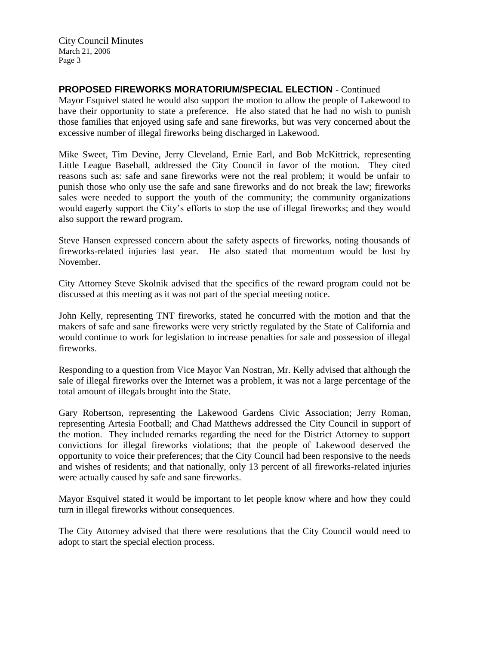## **PROPOSED FIREWORKS MORATORIUM/SPECIAL ELECTION** - Continued

Mayor Esquivel stated he would also support the motion to allow the people of Lakewood to have their opportunity to state a preference. He also stated that he had no wish to punish those families that enjoyed using safe and sane fireworks, but was very concerned about the excessive number of illegal fireworks being discharged in Lakewood.

Mike Sweet, Tim Devine, Jerry Cleveland, Ernie Earl, and Bob McKittrick, representing Little League Baseball, addressed the City Council in favor of the motion. They cited reasons such as: safe and sane fireworks were not the real problem; it would be unfair to punish those who only use the safe and sane fireworks and do not break the law; fireworks sales were needed to support the youth of the community; the community organizations would eagerly support the City's efforts to stop the use of illegal fireworks; and they would also support the reward program.

Steve Hansen expressed concern about the safety aspects of fireworks, noting thousands of fireworks-related injuries last year. He also stated that momentum would be lost by November.

City Attorney Steve Skolnik advised that the specifics of the reward program could not be discussed at this meeting as it was not part of the special meeting notice.

John Kelly, representing TNT fireworks, stated he concurred with the motion and that the makers of safe and sane fireworks were very strictly regulated by the State of California and would continue to work for legislation to increase penalties for sale and possession of illegal fireworks.

Responding to a question from Vice Mayor Van Nostran, Mr. Kelly advised that although the sale of illegal fireworks over the Internet was a problem, it was not a large percentage of the total amount of illegals brought into the State.

Gary Robertson, representing the Lakewood Gardens Civic Association; Jerry Roman, representing Artesia Football; and Chad Matthews addressed the City Council in support of the motion. They included remarks regarding the need for the District Attorney to support convictions for illegal fireworks violations; that the people of Lakewood deserved the opportunity to voice their preferences; that the City Council had been responsive to the needs and wishes of residents; and that nationally, only 13 percent of all fireworks-related injuries were actually caused by safe and sane fireworks.

Mayor Esquivel stated it would be important to let people know where and how they could turn in illegal fireworks without consequences.

The City Attorney advised that there were resolutions that the City Council would need to adopt to start the special election process.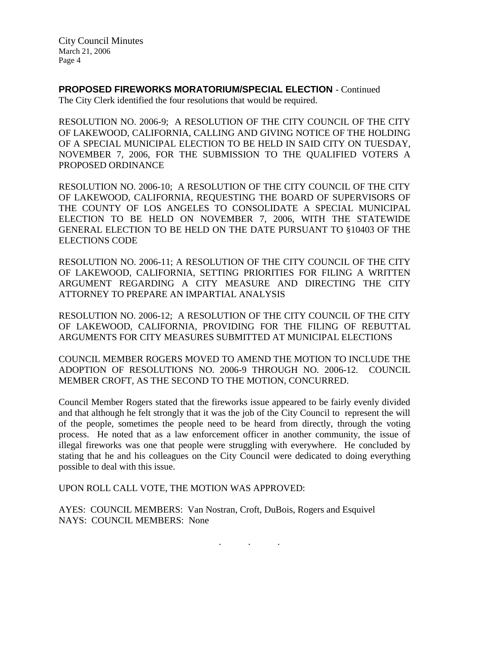**PROPOSED FIREWORKS MORATORIUM/SPECIAL ELECTION** - Continued

The City Clerk identified the four resolutions that would be required.

RESOLUTION NO. 2006-9; A RESOLUTION OF THE CITY COUNCIL OF THE CITY OF LAKEWOOD, CALIFORNIA, CALLING AND GIVING NOTICE OF THE HOLDING OF A SPECIAL MUNICIPAL ELECTION TO BE HELD IN SAID CITY ON TUESDAY, NOVEMBER 7, 2006, FOR THE SUBMISSION TO THE QUALIFIED VOTERS A PROPOSED ORDINANCE

RESOLUTION NO. 2006-10; A RESOLUTION OF THE CITY COUNCIL OF THE CITY OF LAKEWOOD, CALIFORNIA, REQUESTING THE BOARD OF SUPERVISORS OF THE COUNTY OF LOS ANGELES TO CONSOLIDATE A SPECIAL MUNICIPAL ELECTION TO BE HELD ON NOVEMBER 7, 2006, WITH THE STATEWIDE GENERAL ELECTION TO BE HELD ON THE DATE PURSUANT TO §10403 OF THE ELECTIONS CODE

RESOLUTION NO. 2006-11; A RESOLUTION OF THE CITY COUNCIL OF THE CITY OF LAKEWOOD, CALIFORNIA, SETTING PRIORITIES FOR FILING A WRITTEN ARGUMENT REGARDING A CITY MEASURE AND DIRECTING THE CITY ATTORNEY TO PREPARE AN IMPARTIAL ANALYSIS

RESOLUTION NO. 2006-12; A RESOLUTION OF THE CITY COUNCIL OF THE CITY OF LAKEWOOD, CALIFORNIA, PROVIDING FOR THE FILING OF REBUTTAL ARGUMENTS FOR CITY MEASURES SUBMITTED AT MUNICIPAL ELECTIONS

COUNCIL MEMBER ROGERS MOVED TO AMEND THE MOTION TO INCLUDE THE ADOPTION OF RESOLUTIONS NO. 2006-9 THROUGH NO. 2006-12. COUNCIL MEMBER CROFT, AS THE SECOND TO THE MOTION, CONCURRED.

Council Member Rogers stated that the fireworks issue appeared to be fairly evenly divided and that although he felt strongly that it was the job of the City Council to represent the will of the people, sometimes the people need to be heard from directly, through the voting process. He noted that as a law enforcement officer in another community, the issue of illegal fireworks was one that people were struggling with everywhere. He concluded by stating that he and his colleagues on the City Council were dedicated to doing everything possible to deal with this issue.

UPON ROLL CALL VOTE, THE MOTION WAS APPROVED:

AYES: COUNCIL MEMBERS: Van Nostran, Croft, DuBois, Rogers and Esquivel NAYS: COUNCIL MEMBERS: None

. . .